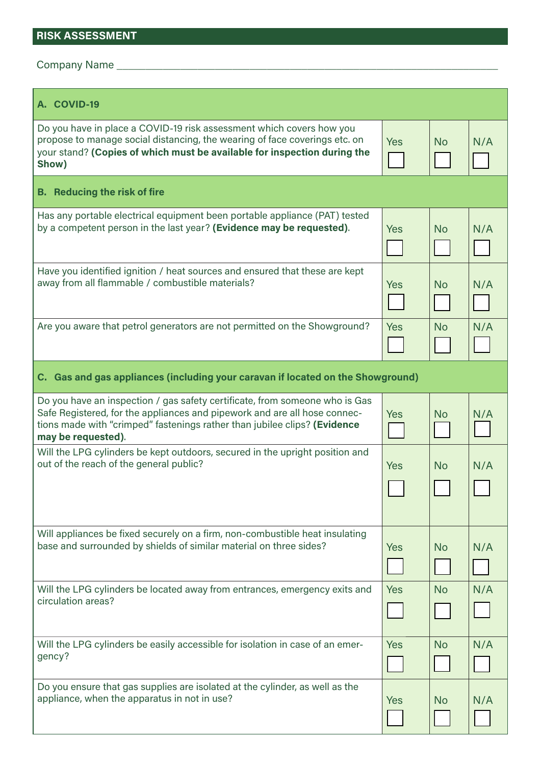## **RISK ASSESSMENT**

Company Name \_\_\_\_\_\_\_\_\_\_\_\_\_\_\_\_\_\_\_\_\_\_\_\_\_\_\_\_\_\_\_\_\_\_\_\_\_\_\_\_\_\_\_\_\_\_\_\_\_\_\_\_\_\_\_\_\_\_\_\_\_\_\_\_\_\_

| A. COVID-19                                                                                                                                                                                                                                                 |            |           |     |  |  |  |
|-------------------------------------------------------------------------------------------------------------------------------------------------------------------------------------------------------------------------------------------------------------|------------|-----------|-----|--|--|--|
| Do you have in place a COVID-19 risk assessment which covers how you<br>propose to manage social distancing, the wearing of face coverings etc. on<br>your stand? (Copies of which must be available for inspection during the<br>Show)                     | <b>Yes</b> | <b>No</b> | N/A |  |  |  |
| <b>B.</b> Reducing the risk of fire                                                                                                                                                                                                                         |            |           |     |  |  |  |
| Has any portable electrical equipment been portable appliance (PAT) tested<br>by a competent person in the last year? (Evidence may be requested).                                                                                                          | <b>Yes</b> | <b>No</b> | N/A |  |  |  |
| Have you identified ignition / heat sources and ensured that these are kept<br>away from all flammable / combustible materials?                                                                                                                             | <b>Yes</b> | <b>No</b> | N/A |  |  |  |
| Are you aware that petrol generators are not permitted on the Showground?                                                                                                                                                                                   | Yes        | <b>No</b> | N/A |  |  |  |
| C. Gas and gas appliances (including your caravan if located on the Showground)                                                                                                                                                                             |            |           |     |  |  |  |
| Do you have an inspection / gas safety certificate, from someone who is Gas<br>Safe Registered, for the appliances and pipework and are all hose connec-<br>tions made with "crimped" fastenings rather than jubilee clips? (Evidence<br>may be requested). | <b>Yes</b> | <b>No</b> | N/A |  |  |  |
| Will the LPG cylinders be kept outdoors, secured in the upright position and<br>out of the reach of the general public?                                                                                                                                     | <b>Yes</b> | <b>No</b> | N/A |  |  |  |
| Will appliances be fixed securely on a firm, non-combustible heat insulating<br>base and surrounded by shields of similar material on three sides?                                                                                                          | <b>Yes</b> | <b>No</b> | N/A |  |  |  |
| Will the LPG cylinders be located away from entrances, emergency exits and<br>circulation areas?                                                                                                                                                            | <b>Yes</b> | <b>No</b> | N/A |  |  |  |
| Will the LPG cylinders be easily accessible for isolation in case of an emer-<br>gency?                                                                                                                                                                     | <b>Yes</b> | <b>No</b> | N/A |  |  |  |
| Do you ensure that gas supplies are isolated at the cylinder, as well as the<br>appliance, when the apparatus in not in use?                                                                                                                                | <b>Yes</b> | <b>No</b> | N/A |  |  |  |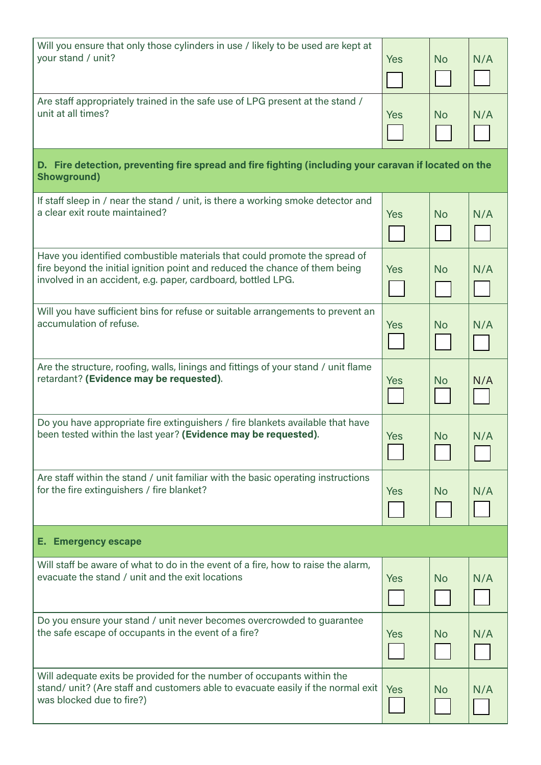| Will you ensure that only those cylinders in use / likely to be used are kept at<br>your stand / unit?                                                                                                                    | <b>Yes</b> | <b>No</b> | N/A |  |  |  |
|---------------------------------------------------------------------------------------------------------------------------------------------------------------------------------------------------------------------------|------------|-----------|-----|--|--|--|
| Are staff appropriately trained in the safe use of LPG present at the stand /<br>unit at all times?                                                                                                                       | <b>Yes</b> | <b>No</b> | N/A |  |  |  |
| D. Fire detection, preventing fire spread and fire fighting (including your caravan if located on the<br><b>Showground)</b>                                                                                               |            |           |     |  |  |  |
| If staff sleep in / near the stand / unit, is there a working smoke detector and<br>a clear exit route maintained?                                                                                                        | <b>Yes</b> | <b>No</b> | N/A |  |  |  |
| Have you identified combustible materials that could promote the spread of<br>fire beyond the initial ignition point and reduced the chance of them being<br>involved in an accident, e.g. paper, cardboard, bottled LPG. | <b>Yes</b> | <b>No</b> | N/A |  |  |  |
| Will you have sufficient bins for refuse or suitable arrangements to prevent an<br>accumulation of refuse.                                                                                                                | <b>Yes</b> | <b>No</b> | N/A |  |  |  |
| Are the structure, roofing, walls, linings and fittings of your stand / unit flame<br>retardant? (Evidence may be requested).                                                                                             | <b>Yes</b> | <b>No</b> | N/A |  |  |  |
| Do you have appropriate fire extinguishers / fire blankets available that have<br>been tested within the last year? (Evidence may be requested).                                                                          | Yes        | <b>No</b> | N/A |  |  |  |
| Are staff within the stand / unit familiar with the basic operating instructions<br>for the fire extinguishers / fire blanket?                                                                                            | <b>Yes</b> | <b>No</b> | N/A |  |  |  |
| <b>E. Emergency escape</b>                                                                                                                                                                                                |            |           |     |  |  |  |
| Will staff be aware of what to do in the event of a fire, how to raise the alarm,<br>evacuate the stand / unit and the exit locations                                                                                     | <b>Yes</b> | <b>No</b> | N/A |  |  |  |
| Do you ensure your stand / unit never becomes overcrowded to guarantee<br>the safe escape of occupants in the event of a fire?                                                                                            | Yes        | <b>No</b> | N/A |  |  |  |
| Will adequate exits be provided for the number of occupants within the<br>stand/ unit? (Are staff and customers able to evacuate easily if the normal exit<br>was blocked due to fire?)                                   | Yes        | <b>No</b> | N/A |  |  |  |